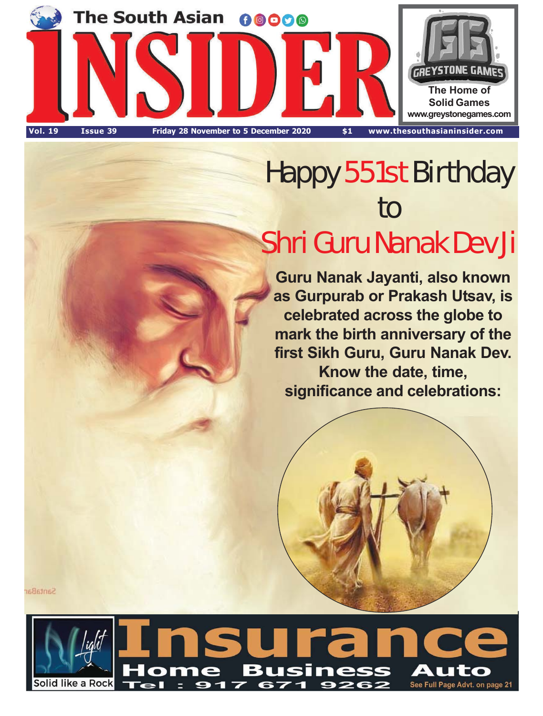

# Happy 551st Birthday to Shri Guru Nanak Dev Ji

**Guru Nanak Jayanti, also known as Gurpurab or Prakash Utsav, is celebrated across the globe to mark the birth anniversary of the first Sikh Guru, Guru Nanak Dev. Know the date, time, significance and celebrations:**



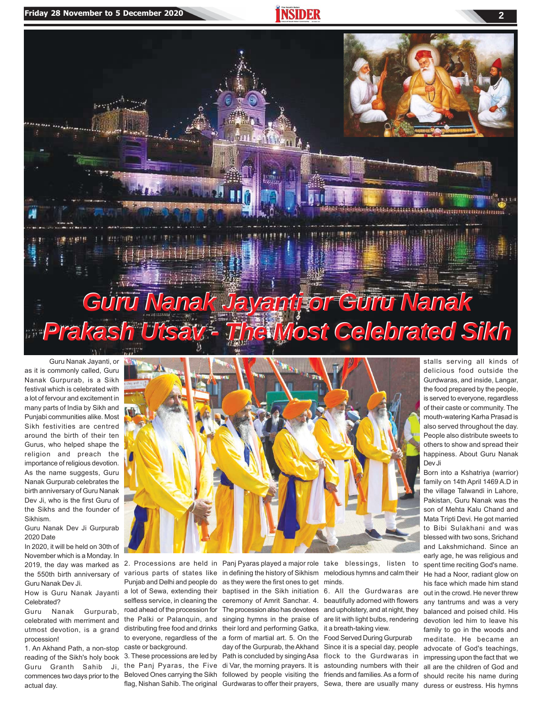

as it is commonly called, Guru Nanak Gurpurab, is a Sikh festival which is celebrated with a lot of fervour and excitement in many parts of India by Sikh and Punjabi communities alike. Most Sikh festivities are centred around the birth of their ten Gurus, who helped shape the religion and preach the importance of religious devotion. As the name suggests, Guru Nanak Gurpurab celebrates the birth anniversary of Guru Nanak Dev Ji, who is the first Guru of the Sikhs and the founder of Sikhism.

Guru Nanak Dev Ji Gurpurab 2020 Date

In 2020, it will be held on 30th of November which is a Monday. In the 550th birth anniversary of Guru Nanak Dev Ji.

How is Guru Nanak Jayanti Celebrated?

Guru Nanak Gurpurab, celebrated with merriment and procession!

1. An Akhand Path, a non-stop reading of the Sikh's holy book Guru Granth Sahib Ji, commences two days prior to the Beloved Ones carrying the Sikh followed by people visiting the friends and families. As a form of actual day.



2019, the day was marked as 2. Processions are held in Panj Pyaras played a major role take blessings, listen to utmost\_devotion, is a grand\_distributing free food and drinks\_their lord and performing Gatka, various parts of states like in defining the history of Sikhism Punjab and Delhi and people do as they were the first ones to get a lot of Sewa, extending their selfless service, in cleaning the road ahead of the procession for the Palki or Palanquin, and to everyone, regardless of the a form of martial art. 5. On the caste or background.

baptised in the Sikh initiation ceremony of Amrit Sanchar. 4. The procession also has devotees singing hymns in the praise of

melodious hymns and calm their minds.

6. All the Gurdwaras are beautifully adorned with flowers and upholstery, and at night, they are lit with light bulbs, rendering it a breath-taking view.

3. These processions are led by Path is concluded by singing Asa flock to the Gurdwaras in the Panj Pyaras, the Five di Var, the morning prayers. It is astounding numbers with their flag, Nishan Sahib. The original Gurdwaras to offer their prayers, Sewa, there are usually many day of the Gurpurab, the Akhand Since it is a special day, people Food Served During Gurpurab

delicious food outside the Gurdwaras, and inside, Langar, the food prepared by the people, is served to everyone, regardless of their caste or community. The mouth-watering Karha Prasad is also served throughout the day. People also distribute sweets to others to show and spread their happiness. About Guru Nanak Dev Ji

Born into a Kshatriya (warrior) family on 14th April 1469 A.D in the village Talwandi in Lahore, Pakistan, Guru Nanak was the son of Mehta Kalu Chand and Mata Tripti Devi. He got married to Bibi Sulakhani and was blessed with two sons, Srichand and Lakshmichand. Since an early age, he was religious and spent time reciting God's name. He had a Noor, radiant glow on his face which made him stand out in the crowd. He never threw any tantrums and was a very balanced and poised child. His devotion led him to leave his family to go in the woods and meditate. He became an advocate of God's teachings, impressing upon the fact that we all are the children of God and should recite his name during duress or eustress. His hymns